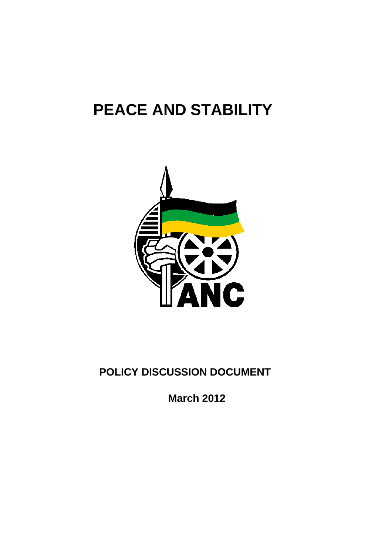# **PEACE AND STABILITY**



# **POLICY DISCUSSION DOCUMENT**

**March 2012**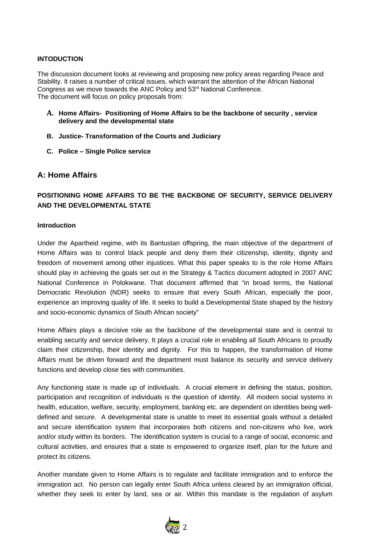#### **INTODUCTION**

The discussion document looks at reviewing and proposing new policy areas regarding Peace and Stability. It raises a number of critical issues, which warrant the attention of the African National Congress as we move towards the ANC Policy and  $53<sup>rd</sup>$  National Conference. The document will focus on policy proposals from:

- **A. Home Affairs- Positioning of Home Affairs to be the backbone of security , service delivery and the developmental state**
- **B. Justice- Transformation of the Courts and Judiciary**
- **C. Police Single Police service**

# **A: Home Affairs**

# **POSITIONING HOME AFFAIRS TO BE THE BACKBONE OF SECURITY, SERVICE DELIVERY AND THE DEVELOPMENTAL STATE**

#### **Introduction**

Under the Apartheid regime, with its Bantustan offspring, the main objective of the department of Home Affairs was to control black people and deny them their citizenship, identity, dignity and freedom of movement among other injustices. What this paper speaks to is the role Home Affairs should play in achieving the goals set out in the Strategy & Tactics document adopted in 2007 ANC National Conference in Polokwane. That document affirmed that "in broad terms, the National Democratic Revolution (NDR) seeks to ensure that every South African, especially the poor, experience an improving quality of life. It seeks to build a Developmental State shaped by the history and socio-economic dynamics of South African society"

Home Affairs plays a decisive role as the backbone of the developmental state and is central to enabling security and service delivery. It plays a crucial role in enabling all South Africans to proudly claim their citizenship, their identity and dignity. For this to happen, the transformation of Home Affairs must be driven forward and the department must balance its security and service delivery functions and develop close ties with communities.

Any functioning state is made up of individuals. A crucial element in defining the status, position, participation and recognition of individuals is the question of identity. All modern social systems in health, education, welfare, security, employment, banking etc. are dependent on identities being welldefined and secure. A developmental state is unable to meet its essential goals without a detailed and secure identification system that incorporates both citizens and non-citizens who live, work and/or study within its borders. The identification system is crucial to a range of social, economic and cultural activities, and ensures that a state is empowered to organize itself, plan for the future and protect its citizens.

Another mandate given to Home Affairs is to regulate and facilitate immigration and to enforce the immigration act. No person can legally enter South Africa unless cleared by an immigration official, whether they seek to enter by land, sea or air. Within this mandate is the regulation of asylum

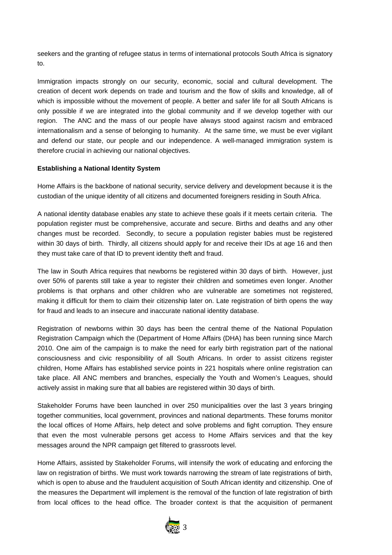seekers and the granting of refugee status in terms of international protocols South Africa is signatory to.

Immigration impacts strongly on our security, economic, social and cultural development. The creation of decent work depends on trade and tourism and the flow of skills and knowledge, all of which is impossible without the movement of people. A better and safer life for all South Africans is only possible if we are integrated into the global community and if we develop together with our region. The ANC and the mass of our people have always stood against racism and embraced internationalism and a sense of belonging to humanity. At the same time, we must be ever vigilant and defend our state, our people and our independence. A well-managed immigration system is therefore crucial in achieving our national objectives.

# **Establishing a National Identity System**

Home Affairs is the backbone of national security, service delivery and development because it is the custodian of the unique identity of all citizens and documented foreigners residing in South Africa.

A national identity database enables any state to achieve these goals if it meets certain criteria. The population register must be comprehensive, accurate and secure. Births and deaths and any other changes must be recorded. Secondly, to secure a population register babies must be registered within 30 days of birth. Thirdly, all citizens should apply for and receive their IDs at age 16 and then they must take care of that ID to prevent identity theft and fraud.

The law in South Africa requires that newborns be registered within 30 days of birth. However, just over 50% of parents still take a year to register their children and sometimes even longer. Another problems is that orphans and other children who are vulnerable are sometimes not registered, making it difficult for them to claim their citizenship later on. Late registration of birth opens the way for fraud and leads to an insecure and inaccurate national identity database.

Registration of newborns within 30 days has been the central theme of the National Population Registration Campaign which the (Department of Home Affairs (DHA) has been running since March 2010. One aim of the campaign is to make the need for early birth registration part of the national consciousness and civic responsibility of all South Africans. In order to assist citizens register children, Home Affairs has established service points in 221 hospitals where online registration can take place. All ANC members and branches, especially the Youth and Women's Leagues, should actively assist in making sure that all babies are registered within 30 days of birth.

Stakeholder Forums have been launched in over 250 municipalities over the last 3 years bringing together communities, local government, provinces and national departments. These forums monitor the local offices of Home Affairs, help detect and solve problems and fight corruption. They ensure that even the most vulnerable persons get access to Home Affairs services and that the key messages around the NPR campaign get filtered to grassroots level.

Home Affairs, assisted by Stakeholder Forums, will intensify the work of educating and enforcing the law on registration of births. We must work towards narrowing the stream of late registrations of birth, which is open to abuse and the fraudulent acquisition of South African identity and citizenship. One of the measures the Department will implement is the removal of the function of late registration of birth from local offices to the head office. The broader context is that the acquisition of permanent

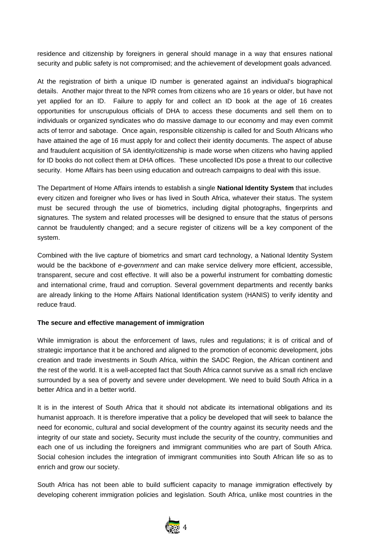residence and citizenship by foreigners in general should manage in a way that ensures national security and public safety is not compromised; and the achievement of development goals advanced.

At the registration of birth a unique ID number is generated against an individual's biographical details. Another major threat to the NPR comes from citizens who are 16 years or older, but have not yet applied for an ID. Failure to apply for and collect an ID book at the age of 16 creates opportunities for unscrupulous officials of DHA to access these documents and sell them on to individuals or organized syndicates who do massive damage to our economy and may even commit acts of terror and sabotage. Once again, responsible citizenship is called for and South Africans who have attained the age of 16 must apply for and collect their identity documents. The aspect of abuse and fraudulent acquisition of SA identity/citizenship is made worse when citizens who having applied for ID books do not collect them at DHA offices. These uncollected IDs pose a threat to our collective security. Home Affairs has been using education and outreach campaigns to deal with this issue.

The Department of Home Affairs intends to establish a single **National Identity System** that includes every citizen and foreigner who lives or has lived in South Africa, whatever their status. The system must be secured through the use of biometrics, including digital photographs, fingerprints and signatures. The system and related processes will be designed to ensure that the status of persons cannot be fraudulently changed; and a secure register of citizens will be a key component of the system.

Combined with the live capture of biometrics and smart card technology, a National Identity System would be the backbone of *e-government* and can make service delivery more efficient, accessible, transparent, secure and cost effective. It will also be a powerful instrument for combatting domestic and international crime, fraud and corruption. Several government departments and recently banks are already linking to the Home Affairs National Identification system (HANIS) to verify identity and reduce fraud.

# **The secure and effective management of immigration**

While immigration is about the enforcement of laws, rules and regulations; it is of critical and of strategic importance that it be anchored and aligned to the promotion of economic development, jobs creation and trade investments in South Africa, within the SADC Region, the African continent and the rest of the world. It is a well-accepted fact that South Africa cannot survive as a small rich enclave surrounded by a sea of poverty and severe under development. We need to build South Africa in a better Africa and in a better world.

It is in the interest of South Africa that it should not abdicate its international obligations and its humanist approach. It is therefore imperative that a policy be developed that will seek to balance the need for economic, cultural and social development of the country against its security needs and the integrity of our state and society**.** Security must include the security of the country, communities and each one of us including the foreigners and immigrant communities who are part of South Africa. Social cohesion includes the integration of immigrant communities into South African life so as to enrich and grow our society.

South Africa has not been able to build sufficient capacity to manage immigration effectively by developing coherent immigration policies and legislation. South Africa, unlike most countries in the

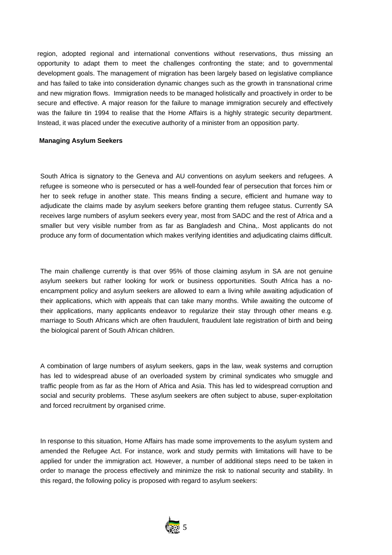region, adopted regional and international conventions without reservations, thus missing an opportunity to adapt them to meet the challenges confronting the state; and to governmental development goals. The management of migration has been largely based on legislative compliance and has failed to take into consideration dynamic changes such as the growth in transnational crime and new migration flows. Immigration needs to be managed holistically and proactively in order to be secure and effective. A major reason for the failure to manage immigration securely and effectively was the failure tin 1994 to realise that the Home Affairs is a highly strategic security department. Instead, it was placed under the executive authority of a minister from an opposition party.

#### **Managing Asylum Seekers**

South Africa is signatory to the Geneva and AU conventions on asylum seekers and refugees. A refugee is someone who is persecuted or has a well-founded fear of persecution that forces him or her to seek refuge in another state. This means finding a secure, efficient and humane way to adjudicate the claims made by asylum seekers before granting them refugee status. Currently SA receives large numbers of asylum seekers every year, most from SADC and the rest of Africa and a smaller but very visible number from as far as Bangladesh and China,. Most applicants do not produce any form of documentation which makes verifying identities and adjudicating claims difficult.

The main challenge currently is that over 95% of those claiming asylum in SA are not genuine asylum seekers but rather looking for work or business opportunities. South Africa has a noencampment policy and asylum seekers are allowed to earn a living while awaiting adjudication of their applications, which with appeals that can take many months. While awaiting the outcome of their applications, many applicants endeavor to regularize their stay through other means e.g. marriage to South Africans which are often fraudulent, fraudulent late registration of birth and being the biological parent of South African children.

A combination of large numbers of asylum seekers, gaps in the law, weak systems and corruption has led to widespread abuse of an overloaded system by criminal syndicates who smuggle and traffic people from as far as the Horn of Africa and Asia. This has led to widespread corruption and social and security problems. These asylum seekers are often subject to abuse, super-exploitation and forced recruitment by organised crime.

In response to this situation, Home Affairs has made some improvements to the asylum system and amended the Refugee Act. For instance, work and study permits with limitations will have to be applied for under the immigration act. However, a number of additional steps need to be taken in order to manage the process effectively and minimize the risk to national security and stability. In this regard, the following policy is proposed with regard to asylum seekers:

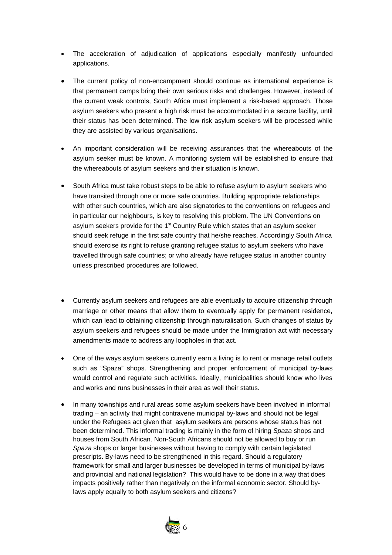- The acceleration of adjudication of applications especially manifestly unfounded applications.
- The current policy of non-encampment should continue as international experience is that permanent camps bring their own serious risks and challenges. However, instead of the current weak controls, South Africa must implement a risk-based approach. Those asylum seekers who present a high risk must be accommodated in a secure facility, until their status has been determined. The low risk asylum seekers will be processed while they are assisted by various organisations.
- An important consideration will be receiving assurances that the whereabouts of the asylum seeker must be known. A monitoring system will be established to ensure that the whereabouts of asylum seekers and their situation is known.
- South Africa must take robust steps to be able to refuse asylum to asylum seekers who have transited through one or more safe countries. Building appropriate relationships with other such countries, which are also signatories to the conventions on refugees and in particular our neighbours, is key to resolving this problem. The UN Conventions on asylum seekers provide for the  $1<sup>st</sup>$  Country Rule which states that an asylum seeker should seek refuge in the first safe country that he/she reaches. Accordingly South Africa should exercise its right to refuse granting refugee status to asylum seekers who have travelled through safe countries; or who already have refugee status in another country unless prescribed procedures are followed.
- Currently asylum seekers and refugees are able eventually to acquire citizenship through marriage or other means that allow them to eventually apply for permanent residence, which can lead to obtaining citizenship through naturalisation. Such changes of status by asylum seekers and refugees should be made under the Immigration act with necessary amendments made to address any loopholes in that act.
- One of the ways asylum seekers currently earn a living is to rent or manage retail outlets such as "Spaza" shops. Strengthening and proper enforcement of municipal by-laws would control and regulate such activities. Ideally, municipalities should know who lives and works and runs businesses in their area as well their status.
- In many townships and rural areas some asylum seekers have been involved in informal trading – an activity that might contravene municipal by-laws and should not be legal under the Refugees act given that asylum seekers are persons whose status has not been determined. This informal trading is mainly in the form of hiring *Spaza* shops and houses from South African. Non-South Africans should not be allowed to buy or run *Spaza* shops or larger businesses without having to comply with certain legislated prescripts. By-laws need to be strengthened in this regard. Should a regulatory framework for small and larger businesses be developed in terms of municipal by-laws and provincial and national legislation? This would have to be done in a way that does impacts positively rather than negatively on the informal economic sector. Should bylaws apply equally to both asylum seekers and citizens?

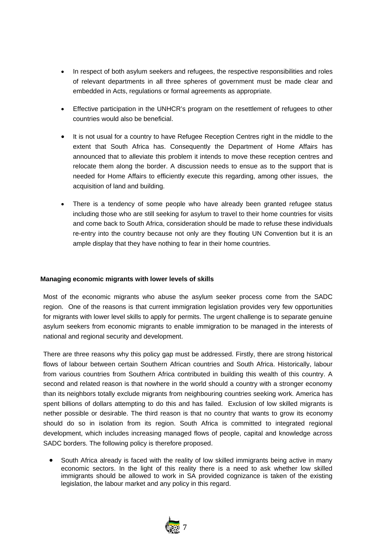- In respect of both asylum seekers and refugees, the respective responsibilities and roles of relevant departments in all three spheres of government must be made clear and embedded in Acts, regulations or formal agreements as appropriate.
- Effective participation in the UNHCR's program on the resettlement of refugees to other countries would also be beneficial.
- It is not usual for a country to have Refugee Reception Centres right in the middle to the extent that South Africa has. Consequently the Department of Home Affairs has announced that to alleviate this problem it intends to move these reception centres and relocate them along the border. A discussion needs to ensue as to the support that is needed for Home Affairs to efficiently execute this regarding, among other issues, the acquisition of land and building.
- There is a tendency of some people who have already been granted refugee status including those who are still seeking for asylum to travel to their home countries for visits and come back to South Africa, consideration should be made to refuse these individuals re-entry into the country because not only are they flouting UN Convention but it is an ample display that they have nothing to fear in their home countries.

# **Managing economic migrants with lower levels of skills**

Most of the economic migrants who abuse the asylum seeker process come from the SADC region. One of the reasons is that current immigration legislation provides very few opportunities for migrants with lower level skills to apply for permits. The urgent challenge is to separate genuine asylum seekers from economic migrants to enable immigration to be managed in the interests of national and regional security and development.

There are three reasons why this policy gap must be addressed. Firstly, there are strong historical flows of labour between certain Southern African countries and South Africa. Historically, labour from various countries from Southern Africa contributed in building this wealth of this country. A second and related reason is that nowhere in the world should a country with a stronger economy than its neighbors totally exclude migrants from neighbouring countries seeking work. America has spent billions of dollars attempting to do this and has failed. Exclusion of low skilled migrants is nether possible or desirable. The third reason is that no country that wants to grow its economy should do so in isolation from its region. South Africa is committed to integrated regional development, which includes increasing managed flows of people, capital and knowledge across SADC borders. The following policy is therefore proposed.

• South Africa already is faced with the reality of low skilled immigrants being active in many economic sectors. In the light of this reality there is a need to ask whether low skilled immigrants should be allowed to work in SA provided cognizance is taken of the existing legislation, the labour market and any policy in this regard.

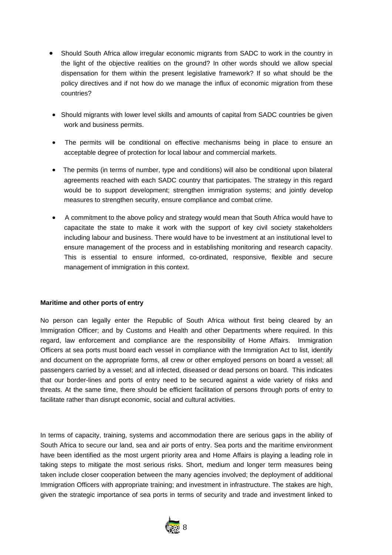- Should South Africa allow irregular economic migrants from SADC to work in the country in the light of the objective realities on the ground? In other words should we allow special dispensation for them within the present legislative framework? If so what should be the policy directives and if not how do we manage the influx of economic migration from these countries?
- Should migrants with lower level skills and amounts of capital from SADC countries be given work and business permits.
- The permits will be conditional on effective mechanisms being in place to ensure an acceptable degree of protection for local labour and commercial markets.
- The permits (in terms of number, type and conditions) will also be conditional upon bilateral agreements reached with each SADC country that participates. The strategy in this regard would be to support development; strengthen immigration systems; and jointly develop measures to strengthen security, ensure compliance and combat crime.
- A commitment to the above policy and strategy would mean that South Africa would have to capacitate the state to make it work with the support of key civil society stakeholders including labour and business. There would have to be investment at an institutional level to ensure management of the process and in establishing monitoring and research capacity. This is essential to ensure informed, co-ordinated, responsive, flexible and secure management of immigration in this context.

# **Maritime and other ports of entry**

No person can legally enter the Republic of South Africa without first being cleared by an Immigration Officer; and by Customs and Health and other Departments where required. In this regard, law enforcement and compliance are the responsibility of Home Affairs. Immigration Officers at sea ports must board each vessel in compliance with the Immigration Act to list, identify and document on the appropriate forms, all crew or other employed persons on board a vessel; all passengers carried by a vessel; and all infected, diseased or dead persons on board. This indicates that our border-lines and ports of entry need to be secured against a wide variety of risks and threats. At the same time, there should be efficient facilitation of persons through ports of entry to facilitate rather than disrupt economic, social and cultural activities.

In terms of capacity, training, systems and accommodation there are serious gaps in the ability of South Africa to secure our land, sea and air ports of entry. Sea ports and the maritime environment have been identified as the most urgent priority area and Home Affairs is playing a leading role in taking steps to mitigate the most serious risks. Short, medium and longer term measures being taken include closer cooperation between the many agencies involved; the deployment of additional Immigration Officers with appropriate training; and investment in infrastructure. The stakes are high, given the strategic importance of sea ports in terms of security and trade and investment linked to

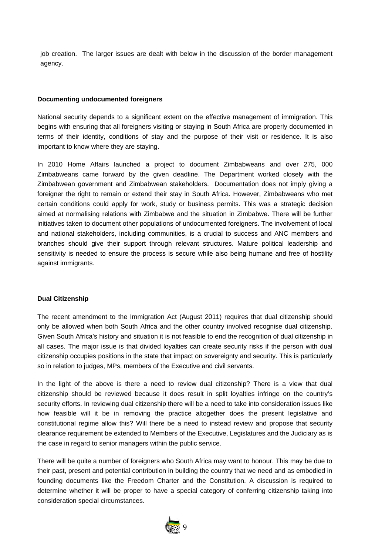job creation. The larger issues are dealt with below in the discussion of the border management agency.

#### **Documenting undocumented foreigners**

National security depends to a significant extent on the effective management of immigration. This begins with ensuring that all foreigners visiting or staying in South Africa are properly documented in terms of their identity, conditions of stay and the purpose of their visit or residence. It is also important to know where they are staying.

In 2010 Home Affairs launched a project to document Zimbabweans and over 275, 000 Zimbabweans came forward by the given deadline. The Department worked closely with the Zimbabwean government and Zimbabwean stakeholders. Documentation does not imply giving a foreigner the right to remain or extend their stay in South Africa. However, Zimbabweans who met certain conditions could apply for work, study or business permits. This was a strategic decision aimed at normalising relations with Zimbabwe and the situation in Zimbabwe. There will be further initiatives taken to document other populations of undocumented foreigners. The involvement of local and national stakeholders, including communities, is a crucial to success and ANC members and branches should give their support through relevant structures. Mature political leadership and sensitivity is needed to ensure the process is secure while also being humane and free of hostility against immigrants.

#### **Dual Citizenship**

The recent amendment to the Immigration Act (August 2011) requires that dual citizenship should only be allowed when both South Africa and the other country involved recognise dual citizenship. Given South Africa's history and situation it is not feasible to end the recognition of dual citizenship in all cases. The major issue is that divided loyalties can create security risks if the person with dual citizenship occupies positions in the state that impact on sovereignty and security. This is particularly so in relation to judges, MPs, members of the Executive and civil servants.

In the light of the above is there a need to review dual citizenship? There is a view that dual citizenship should be reviewed because it does result in split loyalties infringe on the country's security efforts. In reviewing dual citizenship there will be a need to take into consideration issues like how feasible will it be in removing the practice altogether does the present legislative and constitutional regime allow this? Will there be a need to instead review and propose that security clearance requirement be extended to Members of the Executive, Legislatures and the Judiciary as is the case in regard to senior managers within the public service.

There will be quite a number of foreigners who South Africa may want to honour. This may be due to their past, present and potential contribution in building the country that we need and as embodied in founding documents like the Freedom Charter and the Constitution. A discussion is required to determine whether it will be proper to have a special category of conferring citizenship taking into consideration special circumstances.

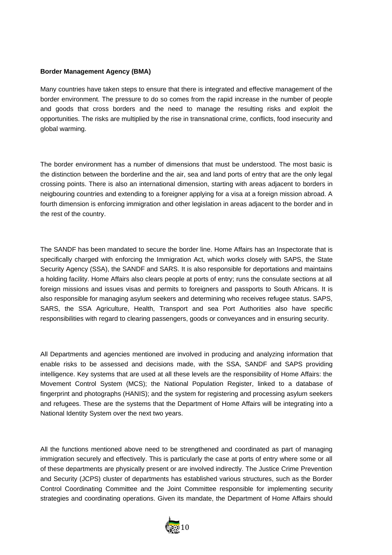# **Border Management Agency (BMA)**

Many countries have taken steps to ensure that there is integrated and effective management of the border environment. The pressure to do so comes from the rapid increase in the number of people and goods that cross borders and the need to manage the resulting risks and exploit the opportunities. The risks are multiplied by the rise in transnational crime, conflicts, food insecurity and global warming.

The border environment has a number of dimensions that must be understood. The most basic is the distinction between the borderline and the air, sea and land ports of entry that are the only legal crossing points. There is also an international dimension, starting with areas adjacent to borders in neigbouring countries and extending to a foreigner applying for a visa at a foreign mission abroad. A fourth dimension is enforcing immigration and other legislation in areas adjacent to the border and in the rest of the country.

The SANDF has been mandated to secure the border line. Home Affairs has an Inspectorate that is specifically charged with enforcing the Immigration Act, which works closely with SAPS, the State Security Agency (SSA), the SANDF and SARS. It is also responsible for deportations and maintains a holding facility. Home Affairs also clears people at ports of entry; runs the consulate sections at all foreign missions and issues visas and permits to foreigners and passports to South Africans. It is also responsible for managing asylum seekers and determining who receives refugee status. SAPS, SARS, the SSA Agriculture, Health, Transport and sea Port Authorities also have specific responsibilities with regard to clearing passengers, goods or conveyances and in ensuring security.

All Departments and agencies mentioned are involved in producing and analyzing information that enable risks to be assessed and decisions made, with the SSA, SANDF and SAPS providing intelligence. Key systems that are used at all these levels are the responsibility of Home Affairs: the Movement Control System (MCS); the National Population Register, linked to a database of fingerprint and photographs (HANIS); and the system for registering and processing asylum seekers and refugees. These are the systems that the Department of Home Affairs will be integrating into a National Identity System over the next two years.

All the functions mentioned above need to be strengthened and coordinated as part of managing immigration securely and effectively. This is particularly the case at ports of entry where some or all of these departments are physically present or are involved indirectly. The Justice Crime Prevention and Security (JCPS) cluster of departments has established various structures, such as the Border Control Coordinating Committee and the Joint Committee responsible for implementing security strategies and coordinating operations. Given its mandate, the Department of Home Affairs should

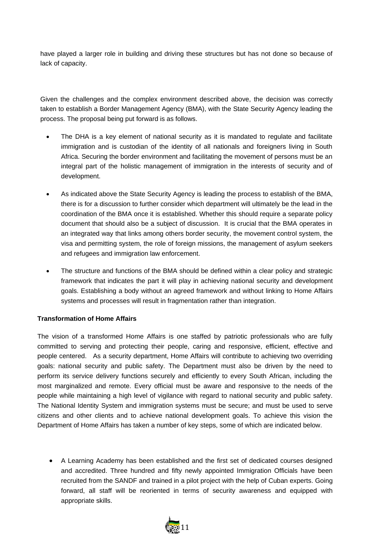have played a larger role in building and driving these structures but has not done so because of lack of capacity.

Given the challenges and the complex environment described above, the decision was correctly taken to establish a Border Management Agency (BMA), with the State Security Agency leading the process. The proposal being put forward is as follows.

- The DHA is a key element of national security as it is mandated to regulate and facilitate immigration and is custodian of the identity of all nationals and foreigners living in South Africa. Securing the border environment and facilitating the movement of persons must be an integral part of the holistic management of immigration in the interests of security and of development.
- As indicated above the State Security Agency is leading the process to establish of the BMA, there is for a discussion to further consider which department will ultimately be the lead in the coordination of the BMA once it is established. Whether this should require a separate policy document that should also be a subject of discussion. It is crucial that the BMA operates in an integrated way that links among others border security, the movement control system, the visa and permitting system, the role of foreign missions, the management of asylum seekers and refugees and immigration law enforcement.
- The structure and functions of the BMA should be defined within a clear policy and strategic framework that indicates the part it will play in achieving national security and development goals. Establishing a body without an agreed framework and without linking to Home Affairs systems and processes will result in fragmentation rather than integration.

# **Transformation of Home Affairs**

The vision of a transformed Home Affairs is one staffed by patriotic professionals who are fully committed to serving and protecting their people, caring and responsive, efficient, effective and people centered. As a security department, Home Affairs will contribute to achieving two overriding goals: national security and public safety. The Department must also be driven by the need to perform its service delivery functions securely and efficiently to every South African, including the most marginalized and remote. Every official must be aware and responsive to the needs of the people while maintaining a high level of vigilance with regard to national security and public safety. The National Identity System and immigration systems must be secure; and must be used to serve citizens and other clients and to achieve national development goals. To achieve this vision the Department of Home Affairs has taken a number of key steps, some of which are indicated below.

• A Learning Academy has been established and the first set of dedicated courses designed and accredited. Three hundred and fifty newly appointed Immigration Officials have been recruited from the SANDF and trained in a pilot project with the help of Cuban experts. Going forward, all staff will be reoriented in terms of security awareness and equipped with appropriate skills.

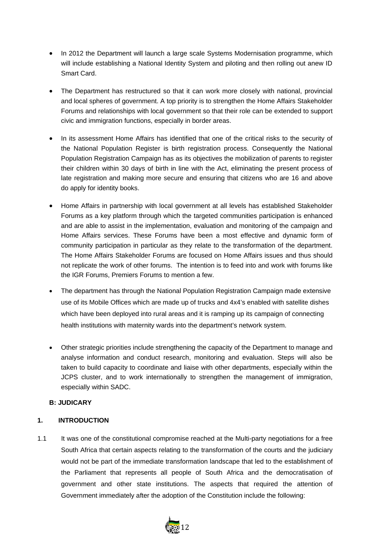- In 2012 the Department will launch a large scale Systems Modernisation programme, which will include establishing a National Identity System and piloting and then rolling out anew ID Smart Card.
- The Department has restructured so that it can work more closely with national, provincial and local spheres of government. A top priority is to strengthen the Home Affairs Stakeholder Forums and relationships with local government so that their role can be extended to support civic and immigration functions, especially in border areas.
- In its assessment Home Affairs has identified that one of the critical risks to the security of the National Population Register is birth registration process. Consequently the National Population Registration Campaign has as its objectives the mobilization of parents to register their children within 30 days of birth in line with the Act, eliminating the present process of late registration and making more secure and ensuring that citizens who are 16 and above do apply for identity books.
- Home Affairs in partnership with local government at all levels has established Stakeholder Forums as a key platform through which the targeted communities participation is enhanced and are able to assist in the implementation, evaluation and monitoring of the campaign and Home Affairs services. These Forums have been a most effective and dynamic form of community participation in particular as they relate to the transformation of the department. The Home Affairs Stakeholder Forums are focused on Home Affairs issues and thus should not replicate the work of other forums. The intention is to feed into and work with forums like the IGR Forums, Premiers Forums to mention a few.
- The department has through the National Population Registration Campaign made extensive use of its Mobile Offices which are made up of trucks and 4x4's enabled with satellite dishes which have been deployed into rural areas and it is ramping up its campaign of connecting health institutions with maternity wards into the department's network system.
- Other strategic priorities include strengthening the capacity of the Department to manage and analyse information and conduct research, monitoring and evaluation. Steps will also be taken to build capacity to coordinate and liaise with other departments, especially within the JCPS cluster, and to work internationally to strengthen the management of immigration, especially within SADC.

# **B: JUDICARY**

# **1. INTRODUCTION**

1.1 It was one of the constitutional compromise reached at the Multi-party negotiations for a free South Africa that certain aspects relating to the transformation of the courts and the judiciary would not be part of the immediate transformation landscape that led to the establishment of the Parliament that represents all people of South Africa and the democratisation of government and other state institutions. The aspects that required the attention of Government immediately after the adoption of the Constitution include the following:

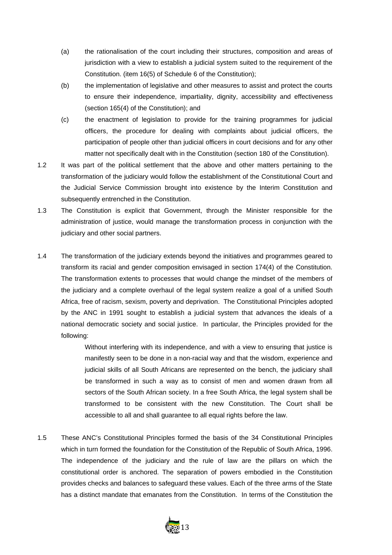- (a) the rationalisation of the court including their structures, composition and areas of jurisdiction with a view to establish a judicial system suited to the requirement of the Constitution. (item 16(5) of Schedule 6 of the Constitution);
- (b) the implementation of legislative and other measures to assist and protect the courts to ensure their independence, impartiality, dignity, accessibility and effectiveness (section 165(4) of the Constitution); and
- (c) the enactment of legislation to provide for the training programmes for judicial officers, the procedure for dealing with complaints about judicial officers, the participation of people other than judicial officers in court decisions and for any other matter not specifically dealt with in the Constitution (section 180 of the Constitution).
- 1.2 It was part of the political settlement that the above and other matters pertaining to the transformation of the judiciary would follow the establishment of the Constitutional Court and the Judicial Service Commission brought into existence by the Interim Constitution and subsequently entrenched in the Constitution.
- 1.3 The Constitution is explicit that Government, through the Minister responsible for the administration of justice, would manage the transformation process in conjunction with the judiciary and other social partners.
- 1.4 The transformation of the judiciary extends beyond the initiatives and programmes geared to transform its racial and gender composition envisaged in section 174(4) of the Constitution. The transformation extents to processes that would change the mindset of the members of the judiciary and a complete overhaul of the legal system realize a goal of a unified South Africa, free of racism, sexism, poverty and deprivation. The Constitutional Principles adopted by the ANC in 1991 sought to establish a judicial system that advances the ideals of a national democratic society and social justice. In particular, the Principles provided for the following:

Without interfering with its independence, and with a view to ensuring that justice is manifestly seen to be done in a non-racial way and that the wisdom, experience and judicial skills of all South Africans are represented on the bench, the judiciary shall be transformed in such a way as to consist of men and women drawn from all sectors of the South African society. In a free South Africa, the legal system shall be transformed to be consistent with the new Constitution. The Court shall be accessible to all and shall guarantee to all equal rights before the law.

1.5 These ANC's Constitutional Principles formed the basis of the 34 Constitutional Principles which in turn formed the foundation for the Constitution of the Republic of South Africa, 1996. The independence of the judiciary and the rule of law are the pillars on which the constitutional order is anchored. The separation of powers embodied in the Constitution provides checks and balances to safeguard these values. Each of the three arms of the State has a distinct mandate that emanates from the Constitution. In terms of the Constitution the

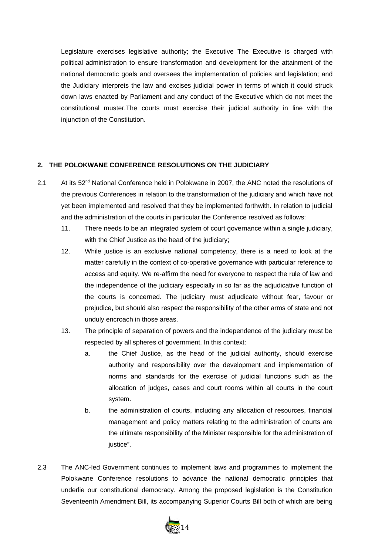Legislature exercises legislative authority; the Executive The Executive is charged with political administration to ensure transformation and development for the attainment of the national democratic goals and oversees the implementation of policies and legislation; and the Judiciary interprets the law and excises judicial power in terms of which it could struck down laws enacted by Parliament and any conduct of the Executive which do not meet the constitutional muster.The courts must exercise their judicial authority in line with the injunction of the Constitution.

# **2. THE POLOKWANE CONFERENCE RESOLUTIONS ON THE JUDICIARY**

- 2.1 At its  $52<sup>nd</sup>$  National Conference held in Polokwane in 2007, the ANC noted the resolutions of the previous Conferences in relation to the transformation of the judiciary and which have not yet been implemented and resolved that they be implemented forthwith. In relation to judicial and the administration of the courts in particular the Conference resolved as follows:
	- 11. There needs to be an integrated system of court governance within a single judiciary, with the Chief Justice as the head of the judiciary;
	- 12. While justice is an exclusive national competency, there is a need to look at the matter carefully in the context of co-operative governance with particular reference to access and equity. We re-affirm the need for everyone to respect the rule of law and the independence of the judiciary especially in so far as the adjudicative function of the courts is concerned. The judiciary must adjudicate without fear, favour or prejudice, but should also respect the responsibility of the other arms of state and not unduly encroach in those areas.
	- 13. The principle of separation of powers and the independence of the judiciary must be respected by all spheres of government. In this context:
		- a. the Chief Justice, as the head of the judicial authority, should exercise authority and responsibility over the development and implementation of norms and standards for the exercise of judicial functions such as the allocation of judges, cases and court rooms within all courts in the court system.
		- b. the administration of courts, including any allocation of resources, financial management and policy matters relating to the administration of courts are the ultimate responsibility of the Minister responsible for the administration of iustice".
- 2.3 The ANC-led Government continues to implement laws and programmes to implement the Polokwane Conference resolutions to advance the national democratic principles that underlie our constitutional democracy. Among the proposed legislation is the Constitution Seventeenth Amendment Bill, its accompanying Superior Courts Bill both of which are being

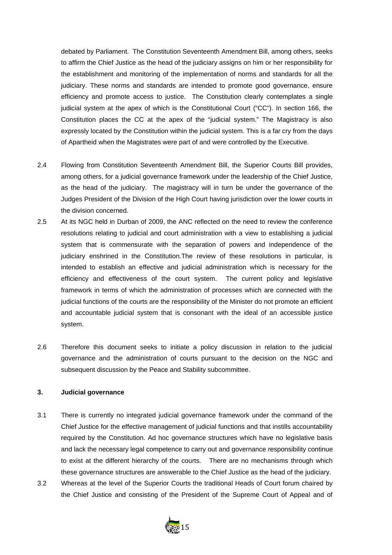debated by Parliament. The Constitution Seventeenth Amendment Bill, among others, seeks to affirm the Chief Justice as the head of the judiciary assigns on him or her responsibility for the establishment and monitoring of the implementation of norms and standards for all the judiciary. These norms and standards are intended to promote good governance, ensure efficiency and promote access to justice. The Constitution clearly contemplates a single judicial system at the apex of which is the Constitutional Court ("CC"). In section 166, the Constitution places the CC at the apex of the "judicial system." The Magistracy is also expressly located by the Constitution within the judicial system. This is a far cry from the days of Apartheid when the Magistrates were part of and were controlled by the Executive.

- 2.4 Flowing from Constitution Seventeenth Amendment Bill, the Superior Courts Bill provides, among others, for a judicial governance framework under the leadership of the Chief Justice, as the head of the judiciary. The magistracy will in turn be under the governance of the Judges President of the Division of the High Court having jurisdiction over the lower courts in the division concerned.
- 2.5 At its NGC held in Durban of 2009, the ANC reflected on the need to review the conference resolutions relating to judicial and court administration with a view to establishing a judicial system that is commensurate with the separation of powers and independence of the judiciary enshrined in the Constitution.The review of these resolutions in particular, is intended to establish an effective and judicial administration which is necessary for the efficiency and effectiveness of the court system. The current policy and legislative framework in terms of which the administration of processes which are connected with the judicial functions of the courts are the responsibility of the Minister do not promote an efficient and accountable judicial system that is consonant with the ideal of an accessible justice system.
- 2.6 Therefore this document seeks to initiate a policy discussion in relation to the judicial governance and the administration of courts pursuant to the decision on the NGC and subsequent discussion by the Peace and Stability subcommittee.

# **3. Judicial governance**

- 3.1 There is currently no integrated judicial governance framework under the command of the Chief Justice for the effective management of judicial functions and that instills accountability required by the Constitution. Ad hoc governance structures which have no legislative basis and lack the necessary legal competence to carry out and governance responsibility continue to exist at the different hierarchy of the courts. There are no mechanisms through which these governance structures are answerable to the Chief Justice as the head of the judiciary.
- 3.2 Whereas at the level of the Superior Courts the traditional Heads of Court forum chaired by the Chief Justice and consisting of the President of the Supreme Court of Appeal and of

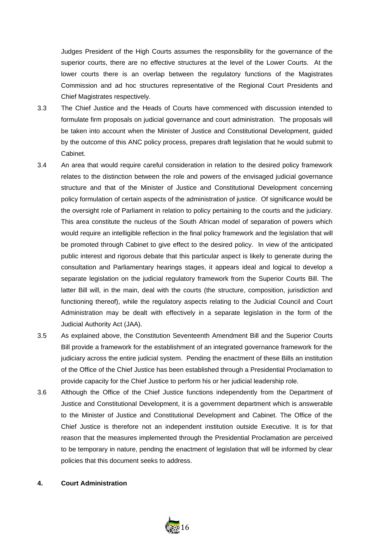Judges President of the High Courts assumes the responsibility for the governance of the superior courts, there are no effective structures at the level of the Lower Courts. At the lower courts there is an overlap between the regulatory functions of the Magistrates Commission and ad hoc structures representative of the Regional Court Presidents and Chief Magistrates respectively.

- 3.3 The Chief Justice and the Heads of Courts have commenced with discussion intended to formulate firm proposals on judicial governance and court administration. The proposals will be taken into account when the Minister of Justice and Constitutional Development, guided by the outcome of this ANC policy process, prepares draft legislation that he would submit to Cabinet.
- 3.4 An area that would require careful consideration in relation to the desired policy framework relates to the distinction between the role and powers of the envisaged judicial governance structure and that of the Minister of Justice and Constitutional Development concerning policy formulation of certain aspects of the administration of justice. Of significance would be the oversight role of Parliament in relation to policy pertaining to the courts and the judiciary. This area constitute the nucleus of the South African model of separation of powers which would require an intelligible reflection in the final policy framework and the legislation that will be promoted through Cabinet to give effect to the desired policy. In view of the anticipated public interest and rigorous debate that this particular aspect is likely to generate during the consultation and Parliamentary hearings stages, it appears ideal and logical to develop a separate legislation on the judicial regulatory framework from the Superior Courts Bill. The latter Bill will, in the main, deal with the courts (the structure, composition, jurisdiction and functioning thereof), while the regulatory aspects relating to the Judicial Council and Court Administration may be dealt with effectively in a separate legislation in the form of the Judicial Authority Act (JAA).
- 3.5 As explained above, the Constitution Seventeenth Amendment Bill and the Superior Courts Bill provide a framework for the establishment of an integrated governance framework for the judiciary across the entire judicial system. Pending the enactment of these Bills an institution of the Office of the Chief Justice has been established through a Presidential Proclamation to provide capacity for the Chief Justice to perform his or her judicial leadership role.
- 3.6 Although the Office of the Chief Justice functions independently from the Department of Justice and Constitutional Development, it is a government department which is answerable to the Minister of Justice and Constitutional Development and Cabinet. The Office of the Chief Justice is therefore not an independent institution outside Executive. It is for that reason that the measures implemented through the Presidential Proclamation are perceived to be temporary in nature, pending the enactment of legislation that will be informed by clear policies that this document seeks to address.

#### **4. Court Administration**

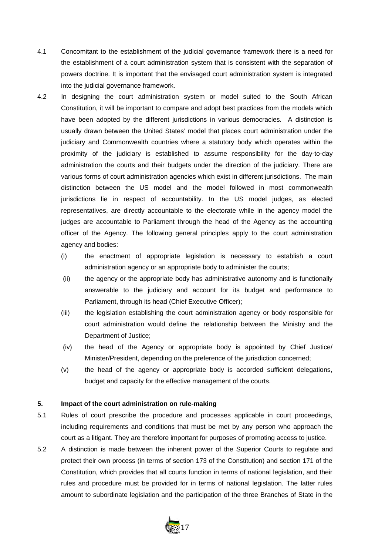- 4.1 Concomitant to the establishment of the judicial governance framework there is a need for the establishment of a court administration system that is consistent with the separation of powers doctrine. It is important that the envisaged court administration system is integrated into the judicial governance framework.
- 4.2 In designing the court administration system or model suited to the South African Constitution, it will be important to compare and adopt best practices from the models which have been adopted by the different jurisdictions in various democracies. A distinction is usually drawn between the United States' model that places court administration under the judiciary and Commonwealth countries where a statutory body which operates within the proximity of the judiciary is established to assume responsibility for the day-to-day administration the courts and their budgets under the direction of the judiciary. There are various forms of court administration agencies which exist in different jurisdictions. The main distinction between the US model and the model followed in most commonwealth jurisdictions lie in respect of accountability. In the US model judges, as elected representatives, are directly accountable to the electorate while in the agency model the judges are accountable to Parliament through the head of the Agency as the accounting officer of the Agency. The following general principles apply to the court administration agency and bodies:
	- (i) the enactment of appropriate legislation is necessary to establish a court administration agency or an appropriate body to administer the courts;
	- (ii) the agency or the appropriate body has administrative autonomy and is functionally answerable to the judiciary and account for its budget and performance to Parliament, through its head (Chief Executive Officer);
	- (iii) the legislation establishing the court administration agency or body responsible for court administration would define the relationship between the Ministry and the Department of Justice;
	- (iv) the head of the Agency or appropriate body is appointed by Chief Justice/ Minister/President, depending on the preference of the jurisdiction concerned;
	- (v) the head of the agency or appropriate body is accorded sufficient delegations, budget and capacity for the effective management of the courts.

# **5. Impact of the court administration on rule-making**

- 5.1 Rules of court prescribe the procedure and processes applicable in court proceedings, including requirements and conditions that must be met by any person who approach the court as a litigant. They are therefore important for purposes of promoting access to justice.
- 5.2 A distinction is made between the inherent power of the Superior Courts to regulate and protect their own process (in terms of section 173 of the Constitution) and section 171 of the Constitution, which provides that all courts function in terms of national legislation, and their rules and procedure must be provided for in terms of national legislation. The latter rules amount to subordinate legislation and the participation of the three Branches of State in the

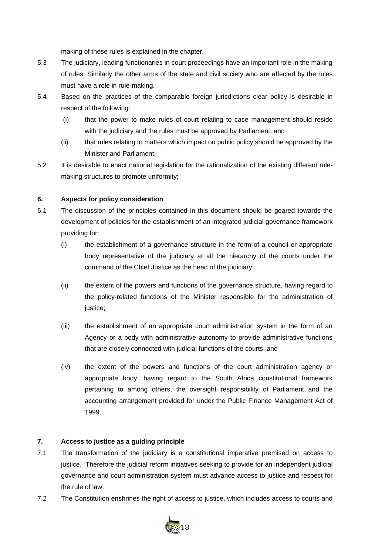making of these rules is explained in the chapter.

- 5.3 The judiciary, leading functionaries in court proceedings have an important role in the making of rules. Similarly the other arms of the state and civil society who are affected by the rules must have a role in rule-making.
- 5.4 Based on the practices of the comparable foreign jurisdictions clear policy is desirable in respect of the following:
	- (i) that the power to make rules of court relating to case management should reside with the judiciary and the rules must be approved by Parliament; and
	- (ii) that rules relating to matters which impact on public policy should be approved by the Minister and Parliament;
- 5.2 It is desirable to enact national legislation for the rationalization of the existing different rulemaking structures to promote uniformity;

# **6. Aspects for policy consideration**

- 6.1 The discussion of the principles contained in this document should be geared towards the development of policies for the establishment of an integrated judicial governance framework providing for:
	- (i) the establishment of a governance structure in the form of a council or appropriate body representative of the judiciary at all the hierarchy of the courts under the command of the Chief Justice as the head of the judiciary;
	- (ii) the extent of the powers and functions of the governance structure, having regard to the policy-related functions of the Minister responsible for the administration of justice;
	- (iii) the establishment of an appropriate court administration system in the form of an Agency or a body with administrative autonomy to provide administrative functions that are closely connected with judicial functions of the courts; and
	- (iv) the extent of the powers and functions of the court administration agency or appropriate body, having regard to the South Africa constitutional framework pertaining to among others, the oversight responsibility of Parliament and the accounting arrangement provided for under the Public Finance Management Act of 1999.

# **7. Access to justice as a guiding principle**

- 7.1 The transformation of the judiciary is a constitutional imperative premised on access to justice. Therefore the judicial reform initiatives seeking to provide for an independent judicial governance and court administration system must advance access to justice and respect for the rule of law.
- 7.2 The Constitution enshrines the right of access to justice, which includes access to courts and

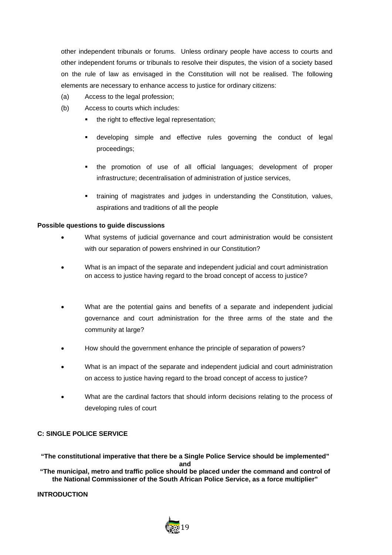other independent tribunals or forums. Unless ordinary people have access to courts and other independent forums or tribunals to resolve their disputes, the vision of a society based on the rule of law as envisaged in the Constitution will not be realised. The following elements are necessary to enhance access to justice for ordinary citizens:

- (a) Access to the legal profession;
- (b) Access to courts which includes:
	- the right to effective legal representation;
	- developing simple and effective rules governing the conduct of legal proceedings;
	- the promotion of use of all official languages; development of proper infrastructure; decentralisation of administration of justice services,
	- training of magistrates and judges in understanding the Constitution, values, aspirations and traditions of all the people

# **Possible questions to guide discussions**

- What systems of judicial governance and court administration would be consistent with our separation of powers enshrined in our Constitution?
- What is an impact of the separate and independent judicial and court administration on access to justice having regard to the broad concept of access to justice?
- What are the potential gains and benefits of a separate and independent judicial governance and court administration for the three arms of the state and the community at large?
- How should the government enhance the principle of separation of powers?
- What is an impact of the separate and independent judicial and court administration on access to justice having regard to the broad concept of access to justice?
- What are the cardinal factors that should inform decisions relating to the process of developing rules of court

# **C: SINGLE POLICE SERVICE**

**"The constitutional imperative that there be a Single Police Service should be implemented" and**

**"The municipal, metro and traffic police should be placed under the command and control of the National Commissioner of the South African Police Service, as a force multiplier"**

**INTRODUCTION**

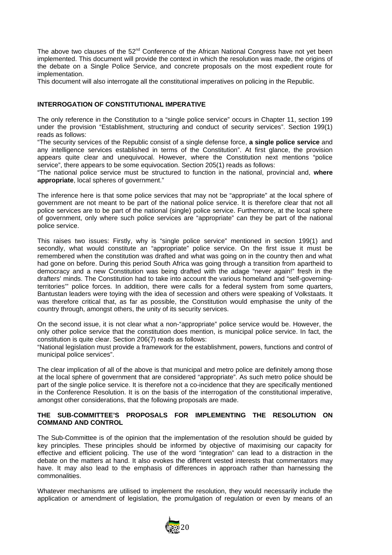The above two clauses of the 52<sup>nd</sup> Conference of the African National Congress have not yet been implemented. This document will provide the context in which the resolution was made, the origins of the debate on a Single Police Service, and concrete proposals on the most expedient route for implementation.

This document will also interrogate all the constitutional imperatives on policing in the Republic.

#### **INTERROGATION OF CONSTITUTIONAL IMPERATIVE**

The only reference in the Constitution to a "single police service" occurs in Chapter 11, section 199 under the provision "Establishment, structuring and conduct of security services". Section 199(1) reads as follows:

"The security services of the Republic consist of a single defense force, **a single police service** and any intelligence services established in terms of the Constitution". At first glance, the provision appears quite clear and unequivocal. However, where the Constitution next mentions "police service", there appears to be some equivocation. Section 205(1) reads as follows:

"The national police service must be structured to function in the national, provincial and, **where appropriate**, local spheres of government."

The inference here is that some police services that may not be "appropriate" at the local sphere of government are not meant to be part of the national police service. It is therefore clear that not all police services are to be part of the national (single) police service. Furthermore, at the local sphere of government, only where such police services are "appropriate" can they be part of the national police service.

This raises two issues: Firstly, why is "single police service" mentioned in section 199(1) and secondly, what would constitute an "appropriate" police service. On the first issue it must be remembered when the constitution was drafted and what was going on in the country then and what had gone on before. During this period South Africa was going through a transition from apartheid to democracy and a new Constitution was being drafted with the adage "never again!" fresh in the drafters' minds. The Constitution had to take into account the various homeland and "self-governingterritories'" police forces. In addition, there were calls for a federal system from some quarters, Bantustan leaders were toying with the idea of secession and others were speaking of Volkstaats. It was therefore critical that, as far as possible, the Constitution would emphasise the unity of the country through, amongst others, the unity of its security services.

On the second issue, it is not clear what a non-"appropriate" police service would be. However, the only other police service that the constitution does mention, is municipal police service. In fact, the constitution is quite clear. Section 206(7) reads as follows:

"National legislation must provide a framework for the establishment, powers, functions and control of municipal police services".

The clear implication of all of the above is that municipal and metro police are definitely among those at the local sphere of government that are considered "appropriate". As such metro police should be part of the single police service. It is therefore not a co-incidence that they are specifically mentioned in the Conference Resolution. It is on the basis of the interrogation of the constitutional imperative, amongst other considerations, that the following proposals are made.

#### **THE SUB-COMMITTEE'S PROPOSALS FOR IMPLEMENTING THE RESOLUTION ON COMMAND AND CONTROL**

The Sub-Committee is of the opinion that the implementation of the resolution should be guided by key principles. These principles should be informed by objective of maximising our capacity for effective and efficient policing. The use of the word "integration" can lead to a distraction in the debate on the matters at hand. It also evokes the different vested interests that commentators may have. It may also lead to the emphasis of differences in approach rather than harnessing the commonalities.

Whatever mechanisms are utilised to implement the resolution, they would necessarily include the application or amendment of legislation, the promulgation of regulation or even by means of an

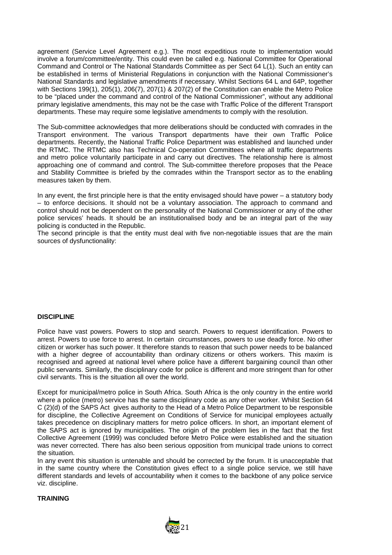agreement (Service Level Agreement e.g.). The most expeditious route to implementation would involve a forum/committee/entity. This could even be called e.g. National Committee for Operational Command and Control or The National Standards Committee as per Sect 64 L(1). Such an entity can be established in terms of Ministerial Regulations in conjunction with the National Commissioner's National Standards and legislative amendments if necessary. Whilst Sections 64 L and 64P, together with Sections 199(1), 205(1), 206(7), 207(1) & 207(2) of the Constitution can enable the Metro Police to be "placed under the command and control of the National Commissioner", without any additional primary legislative amendments, this may not be the case with Traffic Police of the different Transport departments. These may require some legislative amendments to comply with the resolution.

The Sub-committee acknowledges that more deliberations should be conducted with comrades in the Transport environment. The various Transport departments have their own Traffic Police departments. Recently, the National Traffic Police Department was established and launched under the RTMC. The RTMC also has Technical Co-operation Committees where all traffic departments and metro police voluntarily participate in and carry out directives. The relationship here is almost approaching one of command and control. The Sub-committee therefore proposes that the Peace and Stability Committee is briefed by the comrades within the Transport sector as to the enabling measures taken by them.

In any event, the first principle here is that the entity envisaged should have power – a statutory body – to enforce decisions. It should not be a voluntary association. The approach to command and control should not be dependent on the personality of the National Commissioner or any of the other police services' heads. It should be an institutionalised body and be an integral part of the way policing is conducted in the Republic.

The second principle is that the entity must deal with five non-negotiable issues that are the main sources of dysfunctionality:

#### **DISCIPLINE**

Police have vast powers. Powers to stop and search. Powers to request identification. Powers to arrest. Powers to use force to arrest. In certain circumstances, powers to use deadly force. No other citizen or worker has such power. It therefore stands to reason that such power needs to be balanced with a higher degree of accountability than ordinary citizens or others workers. This maxim is recognised and agreed at national level where police have a different bargaining council than other public servants. Similarly, the disciplinary code for police is different and more stringent than for other civil servants. This is the situation all over the world.

Except for municipal/metro police in South Africa. South Africa is the only country in the entire world where a police (metro) service has the same disciplinary code as any other worker. Whilst Section 64 C (2)(d) of the SAPS Act gives authority to the Head of a Metro Police Department to be responsible for discipline, the Collective Agreement on Conditions of Service for municipal employees actually takes precedence on disciplinary matters for metro police officers. In short, an important element of the SAPS act is ignored by municipalities. The origin of the problem lies in the fact that the first Collective Agreement (1999) was concluded before Metro Police were established and the situation was never corrected. There has also been serious opposition from municipal trade unions to correct the situation.

In any event this situation is untenable and should be corrected by the forum. It is unacceptable that in the same country where the Constitution gives effect to a single police service, we still have different standards and levels of accountability when it comes to the backbone of any police service viz. discipline.

#### **TRAINING**

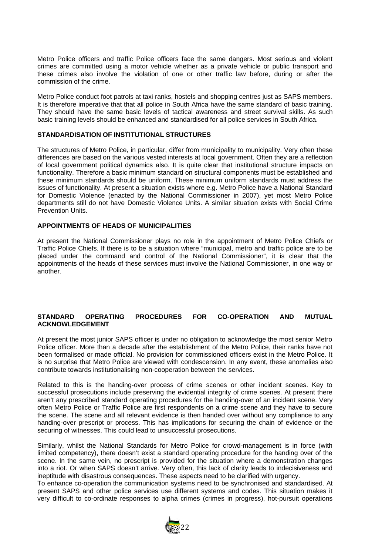Metro Police officers and traffic Police officers face the same dangers. Most serious and violent crimes are committed using a motor vehicle whether as a private vehicle or public transport and these crimes also involve the violation of one or other traffic law before, during or after the commission of the crime.

Metro Police conduct foot patrols at taxi ranks, hostels and shopping centres just as SAPS members. It is therefore imperative that that all police in South Africa have the same standard of basic training. They should have the same basic levels of tactical awareness and street survival skills. As such basic training levels should be enhanced and standardised for all police services in South Africa.

#### **STANDARDISATION OF INSTITUTIONAL STRUCTURES**

The structures of Metro Police, in particular, differ from municipality to municipality. Very often these differences are based on the various vested interests at local government. Often they are a reflection of local government political dynamics also. It is quite clear that institutional structure impacts on functionality. Therefore a basic minimum standard on structural components must be established and these minimum standards should be uniform. These minimum uniform standards must address the issues of functionality. At present a situation exists where e.g. Metro Police have a National Standard for Domestic Violence (enacted by the National Commissioner in 2007), yet most Metro Police departments still do not have Domestic Violence Units. A similar situation exists with Social Crime Prevention Units.

#### **APPOINTMENTS OF HEADS OF MUNICIPALITIES**

At present the National Commissioner plays no role in the appointment of Metro Police Chiefs or Traffic Police Chiefs. If there is to be a situation where "municipal, metro and traffic police are to be placed under the command and control of the National Commissioner", it is clear that the appointments of the heads of these services must involve the National Commissioner, in one way or another.

#### **STANDARD OPERATING PROCEDURES FOR CO-OPERATION AND MUTUAL ACKNOWLEDGEMENT**

At present the most junior SAPS officer is under no obligation to acknowledge the most senior Metro Police officer. More than a decade after the establishment of the Metro Police, their ranks have not been formalised or made official. No provision for commissioned officers exist in the Metro Police. It is no surprise that Metro Police are viewed with condescension. In any event, these anomalies also contribute towards institutionalising non-cooperation between the services.

Related to this is the handing-over process of crime scenes or other incident scenes. Key to successful prosecutions include preserving the evidential integrity of crime scenes. At present there aren't any prescribed standard operating procedures for the handing-over of an incident scene. Very often Metro Police or Traffic Police are first respondents on a crime scene and they have to secure the scene. The scene and all relevant evidence is then handed over without any compliance to any handing-over prescript or process. This has implications for securing the chain of evidence or the securing of witnesses. This could lead to unsuccessful prosecutions.

Similarly, whilst the National Standards for Metro Police for crowd-management is in force (with limited competency), there doesn't exist a standard operating procedure for the handing over of the scene. In the same vein, no prescript is provided for the situation where a demonstration changes into a riot. Or when SAPS doesn't arrive. Very often, this lack of clarity leads to indecisiveness and ineptitude with disastrous consequences. These aspects need to be clarified with urgency.

To enhance co-operation the communication systems need to be synchronised and standardised. At present SAPS and other police services use different systems and codes. This situation makes it very difficult to co-ordinate responses to alpha crimes (crimes in progress), hot-pursuit operations